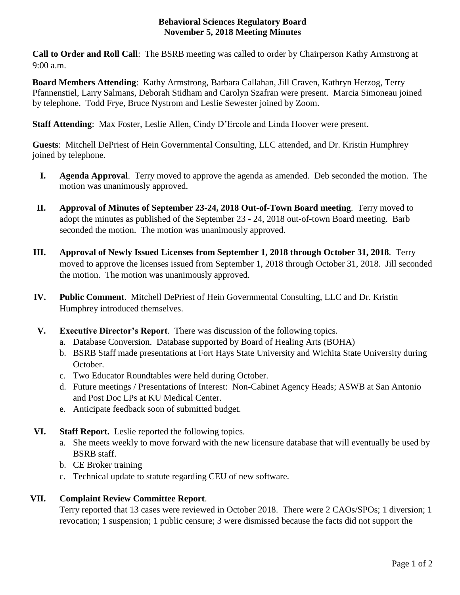## **Behavioral Sciences Regulatory Board November 5, 2018 Meeting Minutes**

**Call to Order and Roll Call**: The BSRB meeting was called to order by Chairperson Kathy Armstrong at 9:00 a.m.

**Board Members Attending**: Kathy Armstrong, Barbara Callahan, Jill Craven, Kathryn Herzog, Terry Pfannenstiel, Larry Salmans, Deborah Stidham and Carolyn Szafran were present. Marcia Simoneau joined by telephone. Todd Frye, Bruce Nystrom and Leslie Sewester joined by Zoom.

**Staff Attending**: Max Foster, Leslie Allen, Cindy D'Ercole and Linda Hoover were present.

**Guests**:Mitchell DePriest of Hein Governmental Consulting, LLC attended, and Dr. Kristin Humphrey joined by telephone.

- **I. Agenda Approval**. Terry moved to approve the agenda as amended. Deb seconded the motion. The motion was unanimously approved.
- **II. Approval of Minutes of September 23-24, 2018 Out-of-Town Board meeting**. Terry moved to adopt the minutes as published of the September 23 - 24, 2018 out-of-town Board meeting. Barb seconded the motion. The motion was unanimously approved.
- **III. Approval of Newly Issued Licenses from September 1, 2018 through October 31, 2018**. Terry moved to approve the licenses issued from September 1, 2018 through October 31, 2018. Jill seconded the motion. The motion was unanimously approved.
- **IV. Public Comment**. Mitchell DePriest of Hein Governmental Consulting, LLC and Dr. Kristin Humphrey introduced themselves.
- **V. Executive Director's Report**. There was discussion of the following topics.
	- a. Database Conversion. Database supported by Board of Healing Arts (BOHA)
	- b. BSRB Staff made presentations at Fort Hays State University and Wichita State University during October.
	- c. Two Educator Roundtables were held during October.
	- d. Future meetings / Presentations of Interest: Non-Cabinet Agency Heads; ASWB at San Antonio and Post Doc LPs at KU Medical Center.
	- e. Anticipate feedback soon of submitted budget.
- **VI. Staff Report.** Leslie reported the following topics.
	- a. She meets weekly to move forward with the new licensure database that will eventually be used by BSRB staff.
	- b. CE Broker training
	- c. Technical update to statute regarding CEU of new software.

## **VII. Complaint Review Committee Report**.

Terry reported that 13 cases were reviewed in October 2018. There were 2 CAOs/SPOs; 1 diversion; 1 revocation; 1 suspension; 1 public censure; 3 were dismissed because the facts did not support the